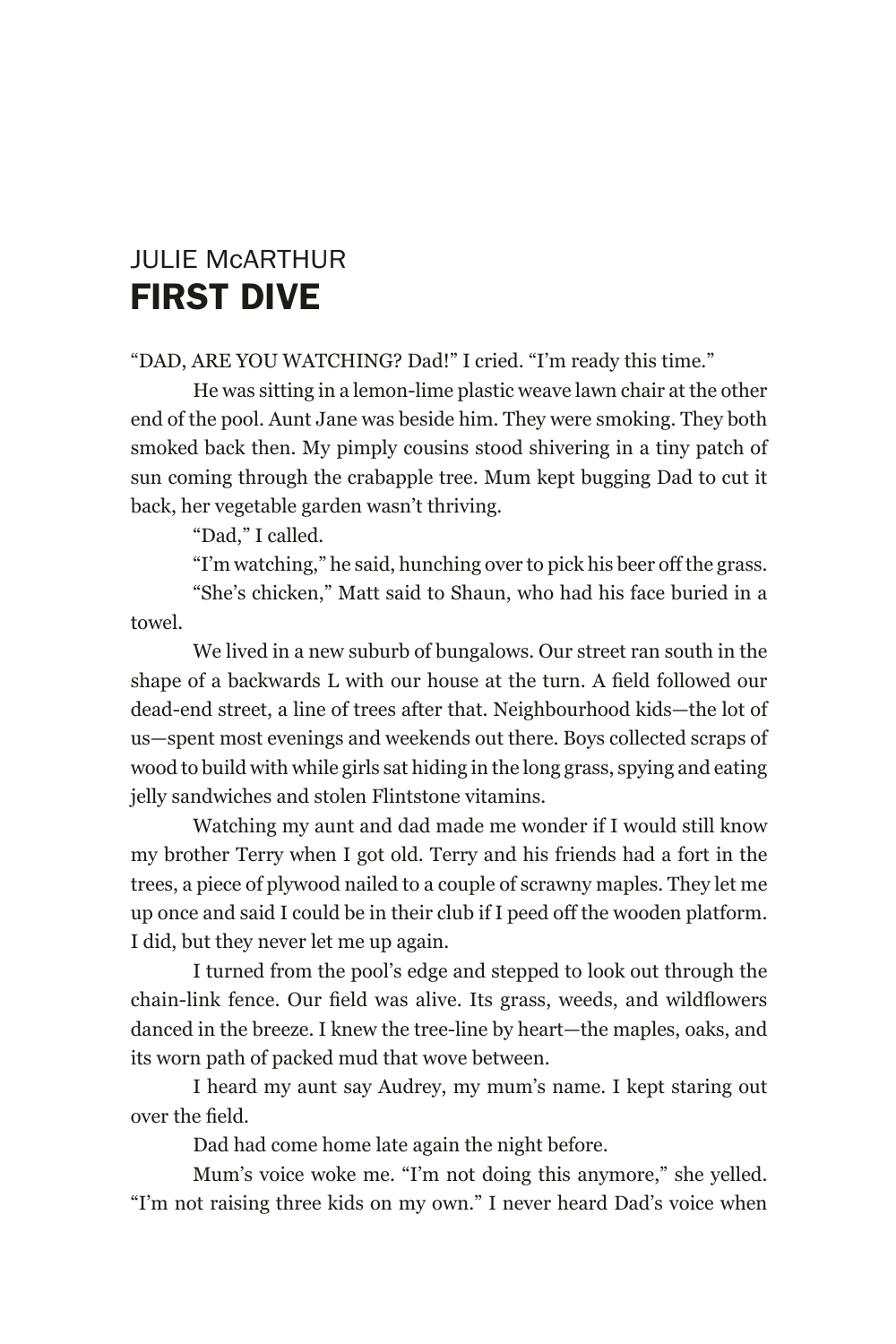## JULIE McARTHUR FIRST DIVE

"DAD, ARE YOU WATCHING? Dad!" I cried. "I'm ready this time."

He was sitting in a lemon-lime plastic weave lawn chair at the other end of the pool. Aunt Jane was beside him. They were smoking. They both smoked back then. My pimply cousins stood shivering in a tiny patch of sun coming through the crabapple tree. Mum kept bugging Dad to cut it back, her vegetable garden wasn't thriving.

"Dad," I called.

"I'm watching," he said, hunching over to pick his beer off the grass. "She's chicken," Matt said to Shaun, who had his face buried in a

towel.

We lived in a new suburb of bungalows. Our street ran south in the shape of a backwards L with our house at the turn. A field followed our dead-end street, a line of trees after that. Neighbourhood kids—the lot of us—spent most evenings and weekends out there. Boys collected scraps of wood to build with while girls sat hiding in the long grass, spying and eating jelly sandwiches and stolen Flintstone vitamins.

Watching my aunt and dad made me wonder if I would still know my brother Terry when I got old. Terry and his friends had a fort in the trees, a piece of plywood nailed to a couple of scrawny maples. They let me up once and said I could be in their club if I peed off the wooden platform. I did, but they never let me up again.

I turned from the pool's edge and stepped to look out through the chain-link fence. Our field was alive. Its grass, weeds, and wildflowers danced in the breeze. I knew the tree-line by heart—the maples, oaks, and its worn path of packed mud that wove between.

I heard my aunt say Audrey, my mum's name. I kept staring out over the field.

Dad had come home late again the night before.

Mum's voice woke me. "I'm not doing this anymore," she yelled. "I'm not raising three kids on my own." I never heard Dad's voice when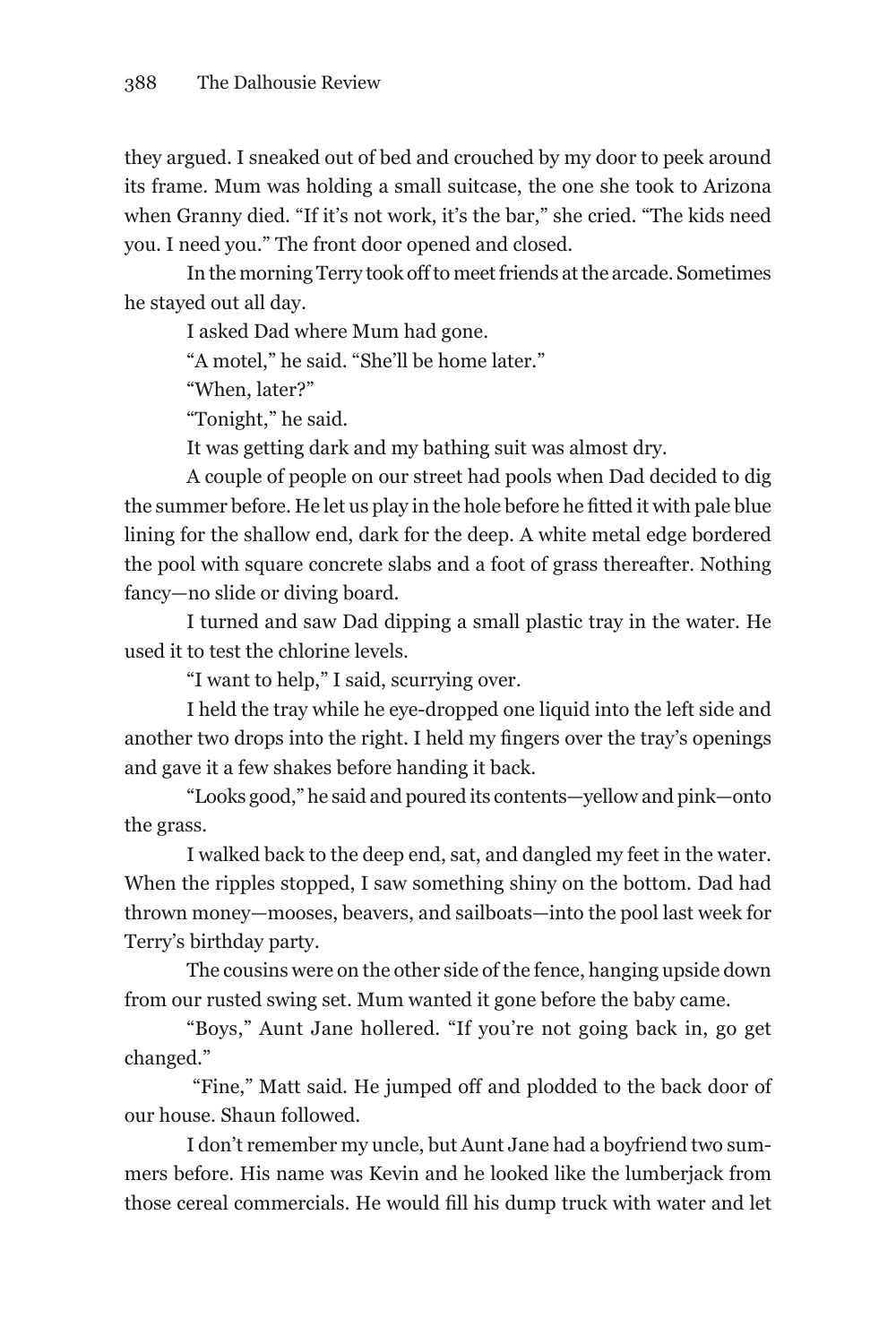they argued. I sneaked out of bed and crouched by my door to peek around its frame. Mum was holding a small suitcase, the one she took to Arizona when Granny died. "If it's not work, it's the bar," she cried. "The kids need you. I need you." The front door opened and closed.

In the morning Terry took off to meet friends at the arcade. Sometimes he stayed out all day.

I asked Dad where Mum had gone.

"A motel," he said. "She'll be home later."

"When, later?"

"Tonight," he said.

It was getting dark and my bathing suit was almost dry.

A couple of people on our street had pools when Dad decided to dig the summer before. He let us play in the hole before he fitted it with pale blue lining for the shallow end, dark for the deep. A white metal edge bordered the pool with square concrete slabs and a foot of grass thereafter. Nothing fancy—no slide or diving board.

I turned and saw Dad dipping a small plastic tray in the water. He used it to test the chlorine levels.

"I want to help," I said, scurrying over.

I held the tray while he eye-dropped one liquid into the left side and another two drops into the right. I held my fingers over the tray's openings and gave it a few shakes before handing it back.

"Looks good," he said and poured its contents—yellow and pink—onto the grass.

I walked back to the deep end, sat, and dangled my feet in the water. When the ripples stopped, I saw something shiny on the bottom. Dad had thrown money—mooses, beavers, and sailboats—into the pool last week for Terry's birthday party.

The cousins were on the other side of the fence, hanging upside down from our rusted swing set. Mum wanted it gone before the baby came.

"Boys," Aunt Jane hollered. "If you're not going back in, go get changed."

 "Fine," Matt said. He jumped off and plodded to the back door of our house. Shaun followed.

I don't remember my uncle, but Aunt Jane had a boyfriend two summers before. His name was Kevin and he looked like the lumberjack from those cereal commercials. He would fill his dump truck with water and let